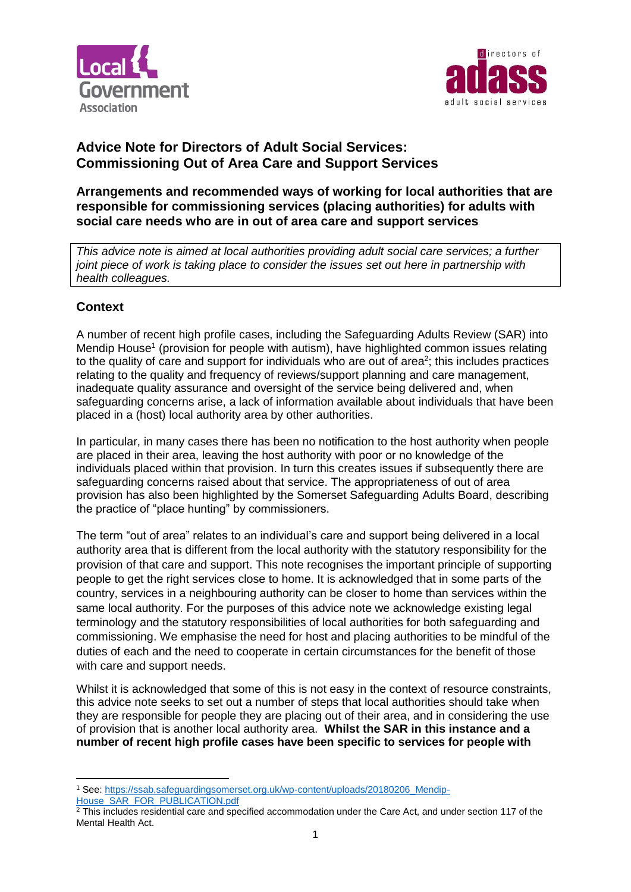



# **Advice Note for Directors of Adult Social Services: Commissioning Out of Area Care and Support Services**

## **Arrangements and recommended ways of working for local authorities that are responsible for commissioning services (placing authorities) for adults with social care needs who are in out of area care and support services**

*This advice note is aimed at local authorities providing adult social care services; a further joint piece of work is taking place to consider the issues set out here in partnership with health colleagues.* 

# **Context**

A number of recent high profile cases, including the Safeguarding Adults Review (SAR) into Mendip House<sup>1</sup> (provision for people with autism), have highlighted common issues relating to the quality of care and support for individuals who are out of area $2$ ; this includes practices relating to the quality and frequency of reviews/support planning and care management, inadequate quality assurance and oversight of the service being delivered and, when safeguarding concerns arise, a lack of information available about individuals that have been placed in a (host) local authority area by other authorities.

In particular, in many cases there has been no notification to the host authority when people are placed in their area, leaving the host authority with poor or no knowledge of the individuals placed within that provision. In turn this creates issues if subsequently there are safeguarding concerns raised about that service. The appropriateness of out of area provision has also been highlighted by the Somerset Safeguarding Adults Board, describing the practice of "place hunting" by commissioners.

The term "out of area" relates to an individual's care and support being delivered in a local authority area that is different from the local authority with the statutory responsibility for the provision of that care and support. This note recognises the important principle of supporting people to get the right services close to home. It is acknowledged that in some parts of the country, services in a neighbouring authority can be closer to home than services within the same local authority. For the purposes of this advice note we acknowledge existing legal terminology and the statutory responsibilities of local authorities for both safeguarding and commissioning. We emphasise the need for host and placing authorities to be mindful of the duties of each and the need to cooperate in certain circumstances for the benefit of those with care and support needs.

Whilst it is acknowledged that some of this is not easy in the context of resource constraints, this advice note seeks to set out a number of steps that local authorities should take when they are responsible for people they are placing out of their area, and in considering the use of provision that is another local authority area. **Whilst the SAR in this instance and a number of recent high profile cases have been specific to services for people with** 

[House\\_SAR\\_FOR\\_PUBLICATION.pdf](https://ssab.safeguardingsomerset.org.uk/wp-content/uploads/20180206_Mendip-House_SAR_FOR_PUBLICATION.pdf)

**.** 

<sup>1</sup> See: [https://ssab.safeguardingsomerset.org.uk/wp-content/uploads/20180206\\_Mendip-](https://ssab.safeguardingsomerset.org.uk/wp-content/uploads/20180206_Mendip-House_SAR_FOR_PUBLICATION.pdf)

<sup>&</sup>lt;sup>2</sup> This includes residential care and specified accommodation under the Care Act, and under section 117 of the Mental Health Act.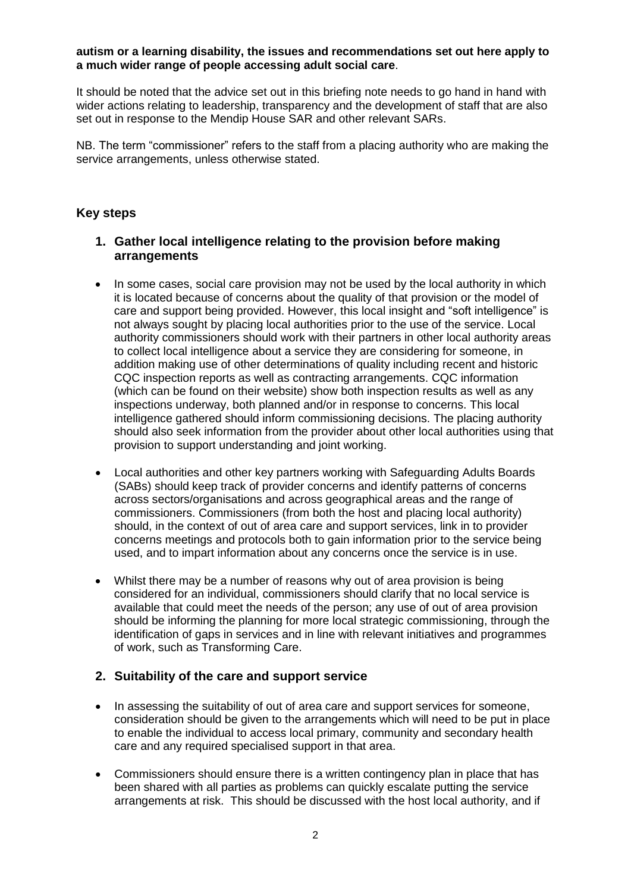#### **autism or a learning disability, the issues and recommendations set out here apply to a much wider range of people accessing adult social care**.

It should be noted that the advice set out in this briefing note needs to go hand in hand with wider actions relating to leadership, transparency and the development of staff that are also set out in response to the Mendip House SAR and other relevant SARs.

NB. The term "commissioner" refers to the staff from a placing authority who are making the service arrangements, unless otherwise stated.

### **Key steps**

## **1. Gather local intelligence relating to the provision before making arrangements**

- In some cases, social care provision may not be used by the local authority in which it is located because of concerns about the quality of that provision or the model of care and support being provided. However, this local insight and "soft intelligence" is not always sought by placing local authorities prior to the use of the service. Local authority commissioners should work with their partners in other local authority areas to collect local intelligence about a service they are considering for someone, in addition making use of other determinations of quality including recent and historic CQC inspection reports as well as contracting arrangements. CQC information (which can be found on their website) show both inspection results as well as any inspections underway, both planned and/or in response to concerns. This local intelligence gathered should inform commissioning decisions. The placing authority should also seek information from the provider about other local authorities using that provision to support understanding and joint working.
- Local authorities and other key partners working with Safeguarding Adults Boards (SABs) should keep track of provider concerns and identify patterns of concerns across sectors/organisations and across geographical areas and the range of commissioners. Commissioners (from both the host and placing local authority) should, in the context of out of area care and support services, link in to provider concerns meetings and protocols both to gain information prior to the service being used, and to impart information about any concerns once the service is in use.
- Whilst there may be a number of reasons why out of area provision is being considered for an individual, commissioners should clarify that no local service is available that could meet the needs of the person; any use of out of area provision should be informing the planning for more local strategic commissioning, through the identification of gaps in services and in line with relevant initiatives and programmes of work, such as Transforming Care.

#### **2. Suitability of the care and support service**

- In assessing the suitability of out of area care and support services for someone, consideration should be given to the arrangements which will need to be put in place to enable the individual to access local primary, community and secondary health care and any required specialised support in that area.
- Commissioners should ensure there is a written contingency plan in place that has been shared with all parties as problems can quickly escalate putting the service arrangements at risk. This should be discussed with the host local authority, and if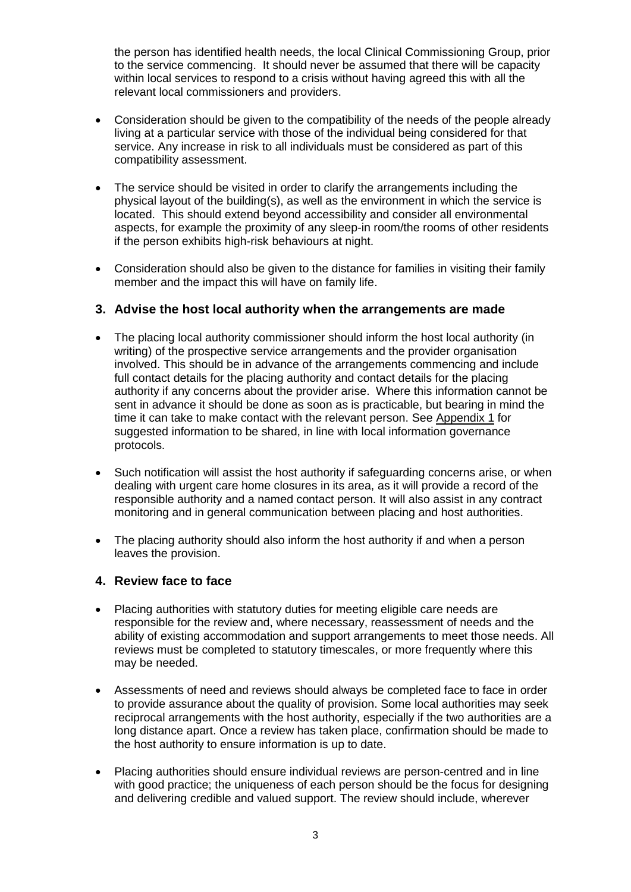the person has identified health needs, the local Clinical Commissioning Group, prior to the service commencing. It should never be assumed that there will be capacity within local services to respond to a crisis without having agreed this with all the relevant local commissioners and providers.

- Consideration should be given to the compatibility of the needs of the people already living at a particular service with those of the individual being considered for that service. Any increase in risk to all individuals must be considered as part of this compatibility assessment.
- The service should be visited in order to clarify the arrangements including the physical layout of the building(s), as well as the environment in which the service is located. This should extend beyond accessibility and consider all environmental aspects, for example the proximity of any sleep-in room/the rooms of other residents if the person exhibits high-risk behaviours at night.
- Consideration should also be given to the distance for families in visiting their family member and the impact this will have on family life.

### **3. Advise the host local authority when the arrangements are made**

- The placing local authority commissioner should inform the host local authority (in writing) of the prospective service arrangements and the provider organisation involved. This should be in advance of the arrangements commencing and include full contact details for the placing authority and contact details for the placing authority if any concerns about the provider arise. Where this information cannot be sent in advance it should be done as soon as is practicable, but bearing in mind the time it can take to make contact with the relevant person. See Appendix 1 for suggested information to be shared, in line with local information governance protocols.
- Such notification will assist the host authority if safeguarding concerns arise, or when dealing with urgent care home closures in its area, as it will provide a record of the responsible authority and a named contact person. It will also assist in any contract monitoring and in general communication between placing and host authorities.
- The placing authority should also inform the host authority if and when a person leaves the provision.

#### **4. Review face to face**

- Placing authorities with statutory duties for meeting eligible care needs are responsible for the review and, where necessary, reassessment of needs and the ability of existing accommodation and support arrangements to meet those needs. All reviews must be completed to statutory timescales, or more frequently where this may be needed.
- Assessments of need and reviews should always be completed face to face in order to provide assurance about the quality of provision. Some local authorities may seek reciprocal arrangements with the host authority, especially if the two authorities are a long distance apart. Once a review has taken place, confirmation should be made to the host authority to ensure information is up to date.
- Placing authorities should ensure individual reviews are person-centred and in line with good practice; the uniqueness of each person should be the focus for designing and delivering credible and valued support. The review should include, wherever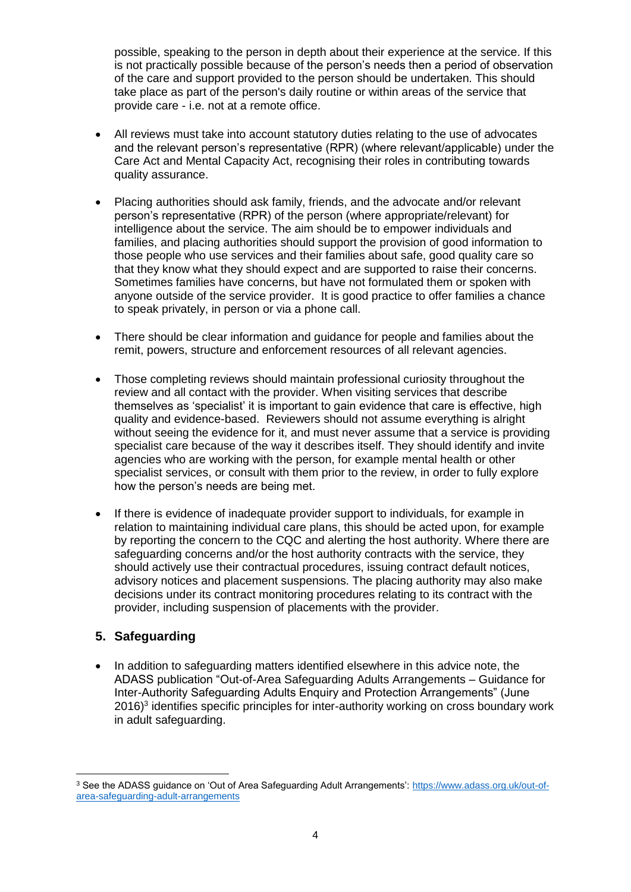possible, speaking to the person in depth about their experience at the service. If this is not practically possible because of the person's needs then a period of observation of the care and support provided to the person should be undertaken. This should take place as part of the person's daily routine or within areas of the service that provide care - i.e. not at a remote office.

- All reviews must take into account statutory duties relating to the use of advocates and the relevant person's representative (RPR) (where relevant/applicable) under the Care Act and Mental Capacity Act, recognising their roles in contributing towards quality assurance.
- Placing authorities should ask family, friends, and the advocate and/or relevant person's representative (RPR) of the person (where appropriate/relevant) for intelligence about the service. The aim should be to empower individuals and families, and placing authorities should support the provision of good information to those people who use services and their families about safe, good quality care so that they know what they should expect and are supported to raise their concerns. Sometimes families have concerns, but have not formulated them or spoken with anyone outside of the service provider. It is good practice to offer families a chance to speak privately, in person or via a phone call.
- There should be clear information and guidance for people and families about the remit, powers, structure and enforcement resources of all relevant agencies.
- Those completing reviews should maintain professional curiosity throughout the review and all contact with the provider. When visiting services that describe themselves as 'specialist' it is important to gain evidence that care is effective, high quality and evidence-based. Reviewers should not assume everything is alright without seeing the evidence for it, and must never assume that a service is providing specialist care because of the way it describes itself. They should identify and invite agencies who are working with the person, for example mental health or other specialist services, or consult with them prior to the review, in order to fully explore how the person's needs are being met.
- If there is evidence of inadequate provider support to individuals, for example in relation to maintaining individual care plans, this should be acted upon, for example by reporting the concern to the CQC and alerting the host authority. Where there are safeguarding concerns and/or the host authority contracts with the service, they should actively use their contractual procedures, issuing contract default notices, advisory notices and placement suspensions. The placing authority may also make decisions under its contract monitoring procedures relating to its contract with the provider, including suspension of placements with the provider.

## **5. Safeguarding**

**.** 

• In addition to safeguarding matters identified elsewhere in this advice note, the ADASS publication "Out-of-Area Safeguarding Adults Arrangements – Guidance for Inter-Authority Safeguarding Adults Enquiry and Protection Arrangements" (June 2016)<sup>3</sup> identifies specific principles for inter-authority working on cross boundary work in adult safeguarding.

<sup>3</sup> See the ADASS guidance on 'Out of Area Safeguarding Adult Arrangements': [https://www.adass.org.uk/out-of](https://www.adass.org.uk/out-of-area-safeguarding-adult-arrangements)[area-safeguarding-adult-arrangements](https://www.adass.org.uk/out-of-area-safeguarding-adult-arrangements)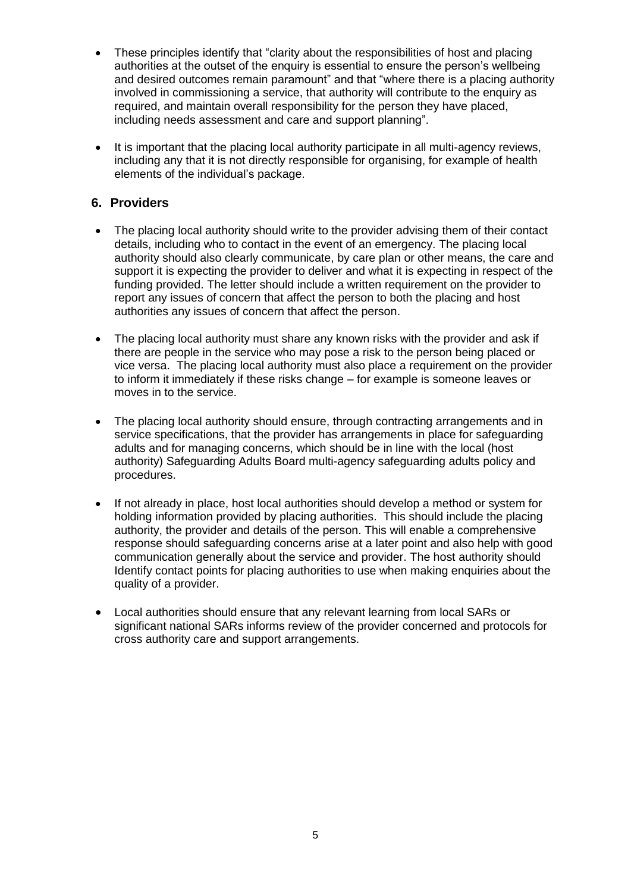- These principles identify that "clarity about the responsibilities of host and placing authorities at the outset of the enquiry is essential to ensure the person's wellbeing and desired outcomes remain paramount" and that "where there is a placing authority involved in commissioning a service, that authority will contribute to the enquiry as required, and maintain overall responsibility for the person they have placed, including needs assessment and care and support planning".
- It is important that the placing local authority participate in all multi-agency reviews, including any that it is not directly responsible for organising, for example of health elements of the individual's package.

## **6. Providers**

- The placing local authority should write to the provider advising them of their contact details, including who to contact in the event of an emergency. The placing local authority should also clearly communicate, by care plan or other means, the care and support it is expecting the provider to deliver and what it is expecting in respect of the funding provided. The letter should include a written requirement on the provider to report any issues of concern that affect the person to both the placing and host authorities any issues of concern that affect the person.
- The placing local authority must share any known risks with the provider and ask if there are people in the service who may pose a risk to the person being placed or vice versa. The placing local authority must also place a requirement on the provider to inform it immediately if these risks change – for example is someone leaves or moves in to the service.
- The placing local authority should ensure, through contracting arrangements and in service specifications, that the provider has arrangements in place for safeguarding adults and for managing concerns, which should be in line with the local (host authority) Safeguarding Adults Board multi-agency safeguarding adults policy and procedures.
- If not already in place, host local authorities should develop a method or system for holding information provided by placing authorities. This should include the placing authority, the provider and details of the person. This will enable a comprehensive response should safeguarding concerns arise at a later point and also help with good communication generally about the service and provider. The host authority should Identify contact points for placing authorities to use when making enquiries about the quality of a provider.
- Local authorities should ensure that any relevant learning from local SARs or significant national SARs informs review of the provider concerned and protocols for cross authority care and support arrangements.